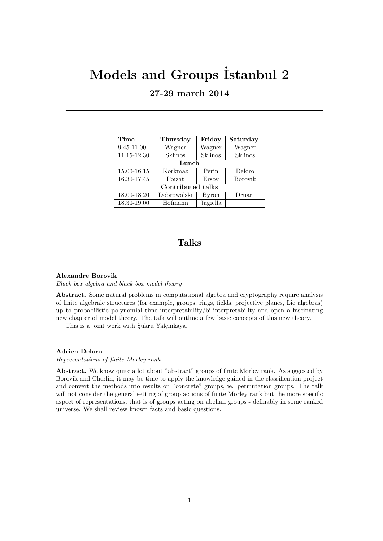# Models and Groups Istanbul 2 **27-29 march 2014**

| Time                     | Thursday    | Friday   | Saturday |
|--------------------------|-------------|----------|----------|
| 9.45-11.00               | Wagner      | Wagner   | Wagner   |
| 11.15-12.30              | Sklinos     | Sklinos  | Sklinos  |
| Lunch                    |             |          |          |
| 15.00-16.15              | Korkmaz     | Perin    | Deloro   |
| 16.30-17.45              | Poizat      | Ersoy    | Borovik  |
| <b>Contributed talks</b> |             |          |          |
| 18.00-18.20              | Dobrowolski | Byron    | Druart   |
| 18.30-19.00              | Hofmann     | Jagiella |          |

## **Talks**

### **Alexandre Borovik**

*Black box algebra and black box model theory*

**Abstract.** Some natural problems in computational algebra and cryptography require analysis of finite algebraic structures (for example, groups, rings, fields, projective planes, Lie algebras) up to probabilistic polynomial time interpretability/bi-interpretability and open a fascinating new chapter of model theory. The talk will outline a few basic concepts of this new theory.

This is a joint work with Şükrü Yalçınkaya.

### **Adrien Deloro**

*Representations of finite Morley rank*

Abstract. We know quite a lot about "abstract" groups of finite Morley rank. As suggested by Borovik and Cherlin, it may be time to apply the knowledge gained in the classification project and convert the methods into results on "concrete" groups, ie. permutation groups. The talk will not consider the general setting of group actions of finite Morley rank but the more specific aspect of representations, that is of groups acting on abelian groups - definably in some ranked universe. We shall review known facts and basic questions.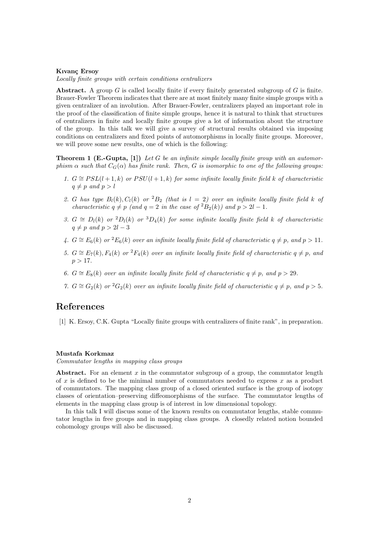#### **Kıvan¸c Ersoy**

*Locally finite groups with certain conditions centralizers*

**Abstract.** A group *G* is called locally finite if every finitely generated subgroup of *G* is finite. Brauer-Fowler Theorem indicates that there are at most finitely many finite simple groups with a given centralizer of an involution. After Brauer-Fowler, centralizers played an important role in the proof of the classification of finite simple groups, hence it is natural to think that structures of centralizers in finite and locally finite groups give a lot of information about the structure of the group. In this talk we will give a survey of structural results obtained via imposing conditions on centralizers and fixed points of automorphisms in locally finite groups. Moreover, we will prove some new results, one of which is the following:

**Theorem 1 (E.-Gupta, [1])** *Let G be an infinite simple locally finite group with an automorphism*  $\alpha$  *such that*  $C_G(\alpha)$  *has finite rank. Then, G is isomorphic to one of the following groups:* 

- *I.*  $G \cong PSL(l+1,k)$  *or*  $PSU(l+1,k)$  *for some infinite locally finite field k of characteristic*  $q \neq p$  *and*  $p > l$
- 2. *G* has type  $B_l(k)$ ,  $C_l(k)$  or  ${}^2B_2$  (that is  $l = 2$ ) over an infinite locally finite field  $k$  of *characteristic*  $q \neq p$  *(and*  $q = 2$  *in the case of*  ${}^{2}B_{2}(k)$ *) and*  $p > 2l - 1$ *.*
- *3. G*  $\cong$  *D*<sub>*l*</sub>(*k*) *or* <sup>2</sup>*D*<sub>*l*</sub>(*k*) *or* <sup>3</sup>*D*<sub>4</sub>(*k*) *for some infinite locally finite field <i>k of characteristic*  $q \neq p$  and  $p > 2l - 3$
- *4. G*  $\cong$  *E*<sub>6</sub>(*k*) *or* <sup>2</sup>*E*<sub>6</sub>(*k*) *over an infinite locally finite field of characteristic q* ≠ *p,* and *p* > 11*.*
- *5. G*  $\cong$   $E_7(k)$ *, F*<sub>4</sub>(*k*) *or* <sup>2</sup>*F*<sub>4</sub>(*k*) *over an infinite locally finite field of characteristic q* ≠ *p, and*  $p > 17$ .
- *6. G*  $\cong$  *E*<sub>8</sub>(*k*) *over an infinite locally finite field of characteristic <i>q* ≠ *p, and p* > 29*.*
- *7. G*  $\cong G_2(k)$  *or* <sup>2</sup> $G_2(k)$  *over an infinite locally finite field of characteristic q* ≠ *p, and p* > 5*.*

### **References**

[1] K. Ersoy, C.K. Gupta "Locally finite groups with centralizers of finite rank", in preparation.

### **Mustafa Korkmaz**

*Commutator lengths in mapping class groups*

Abstract. For an element  $x$  in the commutator subgroup of a group, the commutator length of *x* is defined to be the minimal number of commutators needed to express *x* as a product of commutators. The mapping class group of a closed oriented surface is the group of isotopy classes of orientation–preserving diffeomorphisms of the surface. The commutator lengths of elements in the mapping class group is of interest in low dimensional topology.

In this talk I will discuss some of the known results on commutator lengths, stable commutator lengths in free groups and in mapping class groups. A closedly related notion bounded cohomology groups will also be discussed.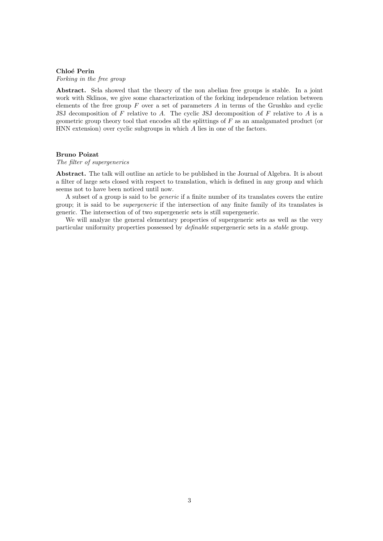#### **Chlo´e Perin**

*Forking in the free group*

**Abstract.** Sela showed that the theory of the non abelian free groups is stable. In a joint work with Sklinos, we give some characterization of the forking independence relation between elements of the free group *F* over a set of parameters *A* in terms of the Grushko and cyclic JSJ decomposition of *F* relative to *A*. The cyclic JSJ decomposition of *F* relative to *A* is a geometric group theory tool that encodes all the splittings of *F* as an amalgamated product (or HNN extension) over cyclic subgroups in which *A* lies in one of the factors.

#### **Bruno Poizat**

#### *The filter of supergenerics*

**Abstract.** The talk will outline an article to be published in the Journal of Algebra. It is about a filter of large sets closed with respect to translation, which is defined in any group and which seems not to have been noticed until now.

A subset of a group is said to be *generic* if a finite number of its translates covers the entire group; it is said to be *supergeneric* if the intersection of any finite family of its translates is generic. The intersection of of two supergeneric sets is still supergeneric.

We will analyze the general elementary properties of supergeneric sets as well as the very particular uniformity properties possessed by *definable* supergeneric sets in a *stable* group.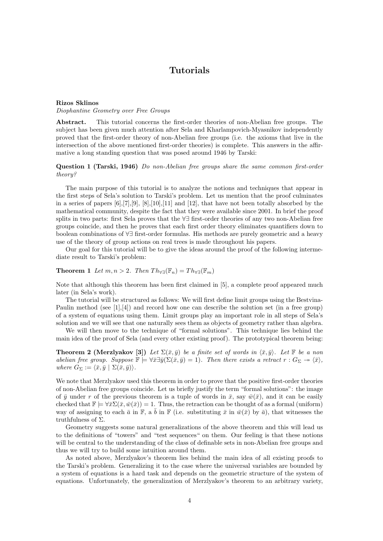### **Tutorials**

#### **Rizos Sklinos**

*Diophantine Geometry over Free Groups*

**Abstract.** This tutorial concerns the first-order theories of non-Abelian free groups. The subject has been given much attention after Sela and Kharlampovich-Myasnikov independently proved that the first-order theory of non-Abelian free groups (i.e. the axioms that live in the intersection of the above mentioned first-order theories) is complete. This answers in the affirmative a long standing question that was posed around 1946 by Tarski:

### **Question 1 (Tarski, 1946)** *Do non-Abelian free groups share the same common first-order theory?*

The main purpose of this tutorial is to analyze the notions and techniques that appear in the first steps of Sela's solution to Tarski's problem. Let us mention that the proof culminates in a series of papers  $[6]$ , $[7]$ , $[9]$ ,  $[8]$ , $[10]$ , $[11]$  and  $[12]$ , that have not been totally absorbed by the mathematical community, despite the fact that they were available since 2001. In brief the proof splits in two parts: first Sela proves that the *∀∃* first-order theories of any two non-Abelian free groups coincide, and then he proves that each first order theory eliminates quantifiers down to boolean combinations of *∀∃* first-order formulas. His methods are purely geometric and a heavy use of the theory of group actions on real trees is made throughout his papers.

Our goal for this tutorial will be to give the ideas around the proof of the following intermediate result to Tarski's problem:

### **Theorem 1** *Let*  $m, n > 2$ *. Then*  $Th_{\forall \exists}(\mathbb{F}_n) = Th_{\forall \exists}(\mathbb{F}_m)$

Note that although this theorem has been first claimed in [5], a complete proof appeared much later (in Sela's work).

The tutorial will be structured as follows: We will first define limit groups using the Bestvina-Paulin method (see  $[1],[4]$ ) and record how one can describe the solution set (in a free group) of a system of equations using them. Limit groups play an important role in all steps of Sela's solution and we will see that one naturally sees them as objects of geometry rather than algebra.

We will then move to the technique of "formal solutions". This technique lies behind the main idea of the proof of Sela (and every other existing proof). The prototypical theorem being:

**Theorem 2 (Merzlyakov [3])** *Let*  $\Sigma(\bar{x}, \bar{y})$  *be a finite set of words in*  $\langle \bar{x}, \bar{y} \rangle$ *. Let*  $\mathbb F$  *be a non abelian free group. Suppose*  $\mathbb{F} \models \forall \bar{x} \exists \bar{y} (\Sigma(\bar{x}, \bar{y}) = 1)$ *. Then there exists a retract*  $r : G_{\Sigma} \rightarrow \langle \bar{x} \rangle$ *,*  $where G_{\Sigma} := \langle \bar{x}, \bar{y} | \Sigma(\bar{x}, \bar{y}) \rangle$ .

We note that Merzlyakov used this theorem in order to prove that the positive first-order theories of non-Abelian free groups coincide. Let us briefly justify the term "formal solutions": the image of  $\bar{y}$  under r of the previous theorem is a tuple of words in  $\bar{x}$ , say  $\bar{w}(\bar{x})$ , and it can be easily checked that  $\mathbb{F} \models \forall \bar{x} \Sigma(\bar{x}, \bar{w}(\bar{x})) = 1$ . Thus, the retraction can be thought of as a formal (uniform) way of assigning to each  $\bar{a}$  in  $\mathbb{F}$ , a  $\bar{b}$  in  $\mathbb{F}$  (i.e. substituting  $\bar{x}$  in  $\bar{w}(\bar{x})$  by  $\bar{a}$ ), that witnesses the truthfulness of Σ.

Geometry suggests some natural generalizations of the above theorem and this will lead us to the definitions of "towers" and "test sequences" on them. Our feeling is that these notions will be central to the understanding of the class of definable sets in non-Abelian free groups and thus we will try to build some intuition around them.

As noted above, Merzlyakov's theorem lies behind the main idea of all existing proofs to the Tarski's problem. Generalizing it to the case where the universal variables are bounded by a system of equations is a hard task and depends on the geometric structure of the system of equations. Unfortunately, the generalization of Merzlyakov's theorem to an arbitrary variety,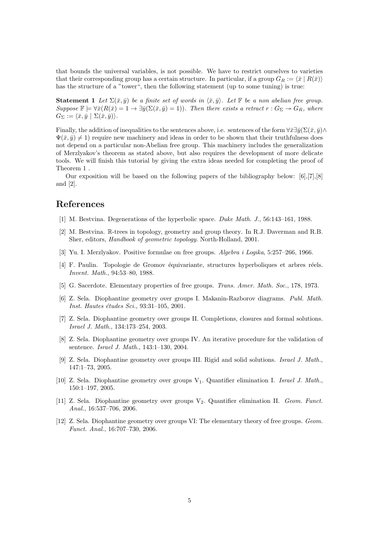that bounds the universal variables, is not possible. We have to restrict ourselves to varieties that their corresponding group has a certain structure. In particular, if a group  $G_R := \langle \bar{x} \mid R(\bar{x}) \rangle$ has the structure of a "tower", then the following statement (up to some tuning) is true:

**Statement 1** Let  $\Sigma(\bar{x}, \bar{y})$  be a finite set of words in  $\langle \bar{x}, \bar{y} \rangle$ . Let  $\mathbb{F}$  be a non abelian free group.  $Suppose \mathbb{F} \models \forall \bar{x} (R(\bar{x}) = 1 \rightarrow \exists \bar{y} (\Sigma(\bar{x}, \bar{y}) = 1)).$  Then there exists a retract  $r : G_{\Sigma} \rightarrow G_R$ , where  $G_{\Sigma} := \langle \bar{x}, \bar{y} \mid \Sigma(\bar{x}, \bar{y}) \rangle$ *.* 

Finally, the addition of inequalities to the sentences above, i.e. sentences of the form  $\forall \bar{x} \exists \bar{y} (\Sigma(\bar{x}, \bar{y}) \land \bar{y})$  $\Psi(\bar{x}, \bar{y}) \neq 1$  require new machinery and ideas in order to be shown that their truthfulness does not depend on a particular non-Abelian free group. This machinery includes the generalization of Merzlyakov's theorem as stated above, but also requires the development of more delicate tools. We will finish this tutorial by giving the extra ideas needed for completing the proof of Theorem 1 .

Our exposition will be based on the following papers of the bibliography below: [6],[7],[8] and [2].

### **References**

- [1] M. Bestvina. Degenerations of the hyperbolic space. *Duke Math. J.*, 56:143–161, 1988.
- [2] M. Bestvina. R-trees in topology, geometry and group theory. In R.J. Daverman and R.B. Sher, editors, *Handbook of geometric topology*. North-Holland, 2001.
- [3] Yu. I. Merzlyakov. Positive formulae on free groups. *Algebra i Logika*, 5:257–266, 1966.
- [4] F. Paulin. Topologie de Gromov équivariante, structures hyperboliques et arbres réels. *Invent. Math.*, 94:53–80, 1988.
- [5] G. Sacerdote. Elementary properties of free groups. *Trans. Amer. Math. Soc.*, 178, 1973.
- [6] Z. Sela. Diophantine geometry over groups I. Makanin-Razborov diagrams. *Publ. Math. Inst. Hautes ´etudes Sci.*, 93:31–105, 2001.
- [7] Z. Sela. Diophantine geometry over groups II. Completions, closures and formal solutions. *Israel J. Math.*, 134:173–254, 2003.
- [8] Z. Sela. Diophantine geometry over groups IV. An iterative procedure for the validation of sentence. *Israel J. Math.*, 143:1–130, 2004.
- [9] Z. Sela. Diophantine geometry over groups III. Rigid and solid solutions. *Israel J. Math.*, 147:1–73, 2005.
- [10] Z. Sela. Diophantine geometry over groups V1. Quantifier elimination I. *Israel J. Math.*, 150:1–197, 2005.
- [11] Z. Sela. Diophantine geometry over groups V2. Quantifier elimination II. *Geom. Funct. Anal.*, 16:537–706, 2006.
- [12] Z. Sela. Diophantine geometry over groups VI: The elementary theory of free groups. *Geom. Funct. Anal.*, 16:707–730, 2006.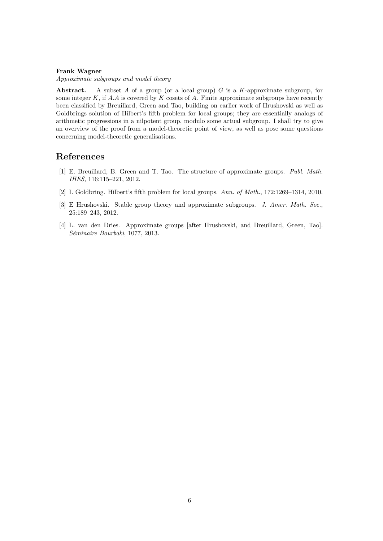### **Frank Wagner**

*Approximate subgroups and model theory*

**Abstract.** A subset *A* of a group (or a local group) *G* is a *K*-approximate subgroup, for some integer *K*, if *A.A* is covered by *K* cosets of *A*. Finite approximate subgroups have recently been classified by Breuillard, Green and Tao, building on earlier work of Hrushovski as well as Goldbrings solution of Hilbert's fifth problem for local groups; they are essentially analogs of arithmetic progressions in a nilpotent group, modulo some actual subgroup. I shall try to give an overview of the proof from a model-theoretic point of view, as well as pose some questions concerning model-theoretic generalisations.

### **References**

- [1] E. Breuillard, B. Green and T. Tao. The structure of approximate groups. *Publ. Math. IHES*, 116:115–221, 2012.
- [2] I. Goldbring. Hilbert's fifth problem for local groups. *Ann. of Math.*, 172:1269–1314, 2010.
- [3] E Hrushovski. Stable group theory and approximate subgroups. *J. Amer. Math. Soc.*, 25:189–243, 2012.
- [4] L. van den Dries. Approximate groups [after Hrushovski, and Breuillard, Green, Tao]. *S´eminaire Bourbaki*, 1077, 2013.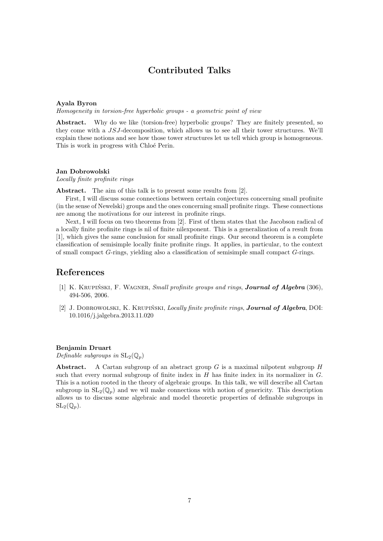### **Contributed Talks**

#### **Ayala Byron**

*Homogeneity in torsion-free hyperbolic groups - a geometric point of view*

Abstract. Why do we like (torsion-free) hyperbolic groups? They are finitely presented, so they come with a *JSJ*-decomposition, which allows us to see all their tower structures. We'll explain these notions and see how those tower structures let us tell which group is homogeneous. This is work in progress with Chloé Perin.

### **Jan Dobrowolski**

*Locally finite profinite rings*

Abstract. The aim of this talk is to present some results from [2].

First, I will discuss some connections between certain conjectures concerning small profinite (in the sense of Newelski) groups and the ones concerning small profinite rings. These connections are among the motivations for our interest in profinite rings.

Next, I will focus on two theorems from [2]. First of them states that the Jacobson radical of a locally finite profinite rings is nil of finite nilexponent. This is a generalization of a result from [1], which gives the same conclusion for small profinite rings. Our second theorem is a complete classification of semisimple locally finite profinite rings. It applies, in particular, to the context of small compact *G*-rings, yielding also a classification of semisimple small compact *G*-rings.

### **References**

- [1] K. KRUPIŃSKI, F. WAGNER, *Small profinite groups and rings*, *Journal of Algebra* (306), 494-506, 2006.
- [2] J. DOBROWOLSKI, K. KRUPIŃSKI, *Locally finite profinite rings*, *Journal of Algebra*, DOI: 10.1016/j.jalgebra.2013.11.020

### **Benjamin Druart**

*Definable subgroups in*  $SL_2(\mathbb{Q}_p)$ 

**Abstract.** A Cartan subgroup of an abstract group *G* is a maximal nilpotent subgroup *H* such that every normal subgroup of finite index in *H* has finite index in its normalizer in *G*. This is a notion rooted in the theory of algebraic groups. In this talk, we will describe all Cartan subgroup in  $SL_2(\mathbb{Q}_n)$  and we wil make connections with notion of genericity. This description allows us to discuss some algebraic and model theoretic properties of definable subgroups in  $SL_2(\mathbb{Q}_p)$ .